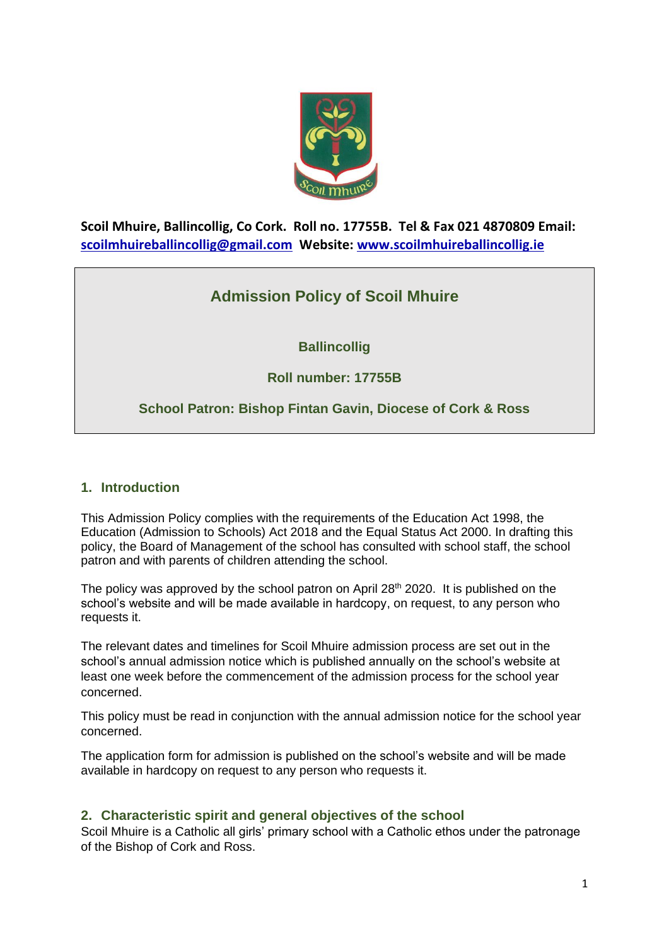

**Scoil Mhuire, Ballincollig, Co Cork. Roll no. 17755B. Tel & Fax 021 4870809 Email: [scoilmhuireballincollig@gmail.com](mailto:scoilmhuireballincollig@gmail.com) Website: [www.scoilmhuireballincollig.ie](http://www.scoilmhuireballincollig.ie/)**

# **Admission Policy of Scoil Mhuire**

## **Ballincollig**

## **Roll number: 17755B**

## **School Patron: Bishop Fintan Gavin, Diocese of Cork & Ross**

## **1. Introduction**

This Admission Policy complies with the requirements of the Education Act 1998, the Education (Admission to Schools) Act 2018 and the Equal Status Act 2000. In drafting this policy, the Board of Management of the school has consulted with school staff, the school patron and with parents of children attending the school.

The policy was approved by the school patron on April  $28<sup>th</sup>$  2020. It is published on the school's website and will be made available in hardcopy, on request, to any person who requests it.

The relevant dates and timelines for Scoil Mhuire admission process are set out in the school's annual admission notice which is published annually on the school's website at least one week before the commencement of the admission process for the school year concerned.

This policy must be read in conjunction with the annual admission notice for the school year concerned.

The application form for admission is published on the school's website and will be made available in hardcopy on request to any person who requests it.

## **2. Characteristic spirit and general objectives of the school**

Scoil Mhuire is a Catholic all girls' primary school with a Catholic ethos under the patronage of the Bishop of Cork and Ross.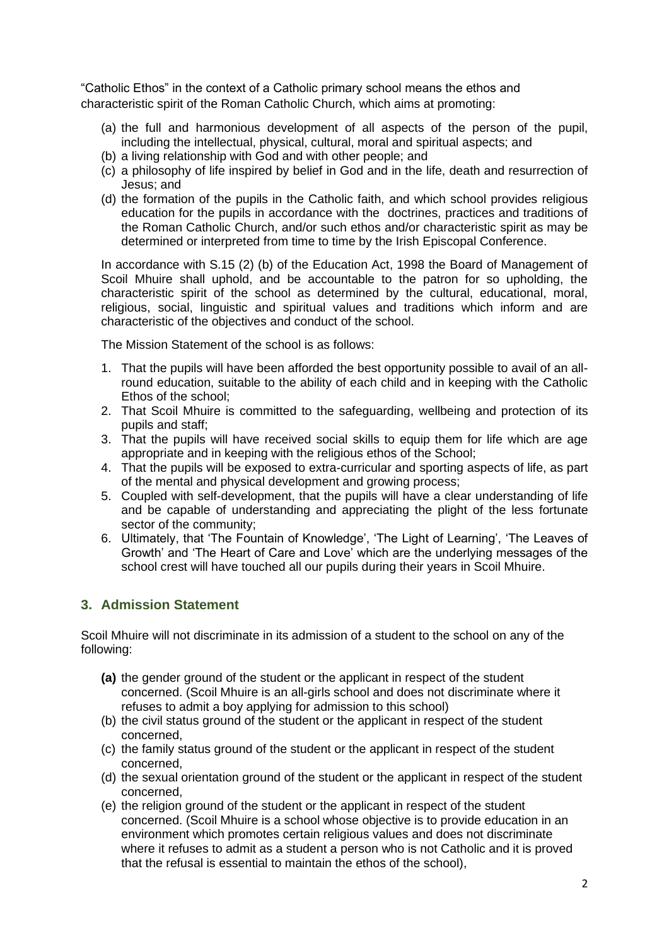"Catholic Ethos" in the context of a Catholic primary school means the ethos and characteristic spirit of the Roman Catholic Church, which aims at promoting:

- (a) the full and harmonious development of all aspects of the person of the pupil, including the intellectual, physical, cultural, moral and spiritual aspects; and
- (b) a living relationship with God and with other people; and
- (c) a philosophy of life inspired by belief in God and in the life, death and resurrection of Jesus; and
- (d) the formation of the pupils in the Catholic faith, and which school provides religious education for the pupils in accordance with the doctrines, practices and traditions of the Roman Catholic Church, and/or such ethos and/or characteristic spirit as may be determined or interpreted from time to time by the Irish Episcopal Conference.

In accordance with S.15 (2) (b) of the Education Act, 1998 the Board of Management of Scoil Mhuire shall uphold, and be accountable to the patron for so upholding, the characteristic spirit of the school as determined by the cultural, educational, moral, religious, social, linguistic and spiritual values and traditions which inform and are characteristic of the objectives and conduct of the school.

The Mission Statement of the school is as follows:

- 1. That the pupils will have been afforded the best opportunity possible to avail of an allround education, suitable to the ability of each child and in keeping with the Catholic Ethos of the school;
- 2. That Scoil Mhuire is committed to the safeguarding, wellbeing and protection of its pupils and staff;
- 3. That the pupils will have received social skills to equip them for life which are age appropriate and in keeping with the religious ethos of the School;
- 4. That the pupils will be exposed to extra-curricular and sporting aspects of life, as part of the mental and physical development and growing process;
- 5. Coupled with self-development, that the pupils will have a clear understanding of life and be capable of understanding and appreciating the plight of the less fortunate sector of the community;
- 6. Ultimately, that 'The Fountain of Knowledge', 'The Light of Learning', 'The Leaves of Growth' and 'The Heart of Care and Love' which are the underlying messages of the school crest will have touched all our pupils during their years in Scoil Mhuire.

## **3. Admission Statement**

Scoil Mhuire will not discriminate in its admission of a student to the school on any of the following:

- **(a)** the gender ground of the student or the applicant in respect of the student concerned. (Scoil Mhuire is an all-girls school and does not discriminate where it refuses to admit a boy applying for admission to this school)
- (b) the civil status ground of the student or the applicant in respect of the student concerned,
- (c) the family status ground of the student or the applicant in respect of the student concerned,
- (d) the sexual orientation ground of the student or the applicant in respect of the student concerned,
- (e) the religion ground of the student or the applicant in respect of the student concerned. (Scoil Mhuire is a school whose objective is to provide education in an environment which promotes certain religious values and does not discriminate where it refuses to admit as a student a person who is not Catholic and it is proved that the refusal is essential to maintain the ethos of the school),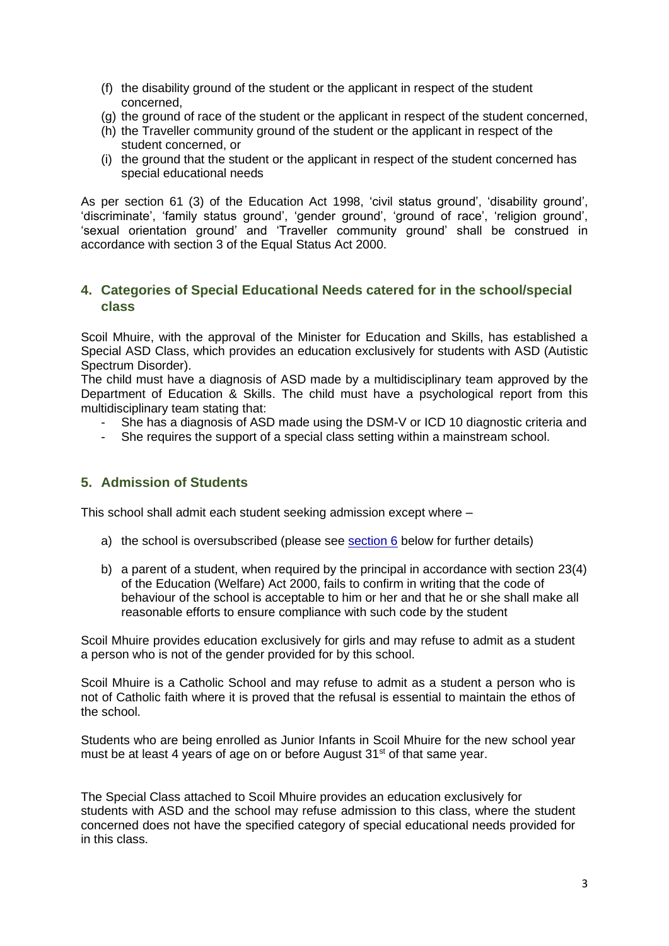- (f) the disability ground of the student or the applicant in respect of the student concerned,
- (g) the ground of race of the student or the applicant in respect of the student concerned,
- (h) the Traveller community ground of the student or the applicant in respect of the student concerned, or
- (i) the ground that the student or the applicant in respect of the student concerned has special educational needs

As per section 61 (3) of the Education Act 1998, 'civil status ground', 'disability ground', 'discriminate', 'family status ground', 'gender ground', 'ground of race', 'religion ground', 'sexual orientation ground' and 'Traveller community ground' shall be construed in accordance with section 3 of the Equal Status Act 2000.

## **4. Categories of Special Educational Needs catered for in the school/special class**

Scoil Mhuire, with the approval of the Minister for Education and Skills, has established a Special ASD Class, which provides an education exclusively for students with ASD (Autistic Spectrum Disorder).

The child must have a diagnosis of ASD made by a multidisciplinary team approved by the Department of Education & Skills. The child must have a psychological report from this multidisciplinary team stating that:

- She has a diagnosis of ASD made using the DSM-V or ICD 10 diagnostic criteria and
- She requires the support of a special class setting within a mainstream school.

## **5. Admission of Students**

This school shall admit each student seeking admission except where –

- a) the school is oversubscribed (please see  $section 6$  below for further details)
- b) a parent of a student, when required by the principal in accordance with section 23(4) of the Education (Welfare) Act 2000, fails to confirm in writing that the code of behaviour of the school is acceptable to him or her and that he or she shall make all reasonable efforts to ensure compliance with such code by the student

Scoil Mhuire provides education exclusively for girls and may refuse to admit as a student a person who is not of the gender provided for by this school.

Scoil Mhuire is a Catholic School and may refuse to admit as a student a person who is not of Catholic faith where it is proved that the refusal is essential to maintain the ethos of the school.

Students who are being enrolled as Junior Infants in Scoil Mhuire for the new school year must be at least 4 years of age on or before August 31<sup>st</sup> of that same year.

The Special Class attached to Scoil Mhuire provides an education exclusively for students with ASD and the school may refuse admission to this class, where the student concerned does not have the specified category of special educational needs provided for in this class.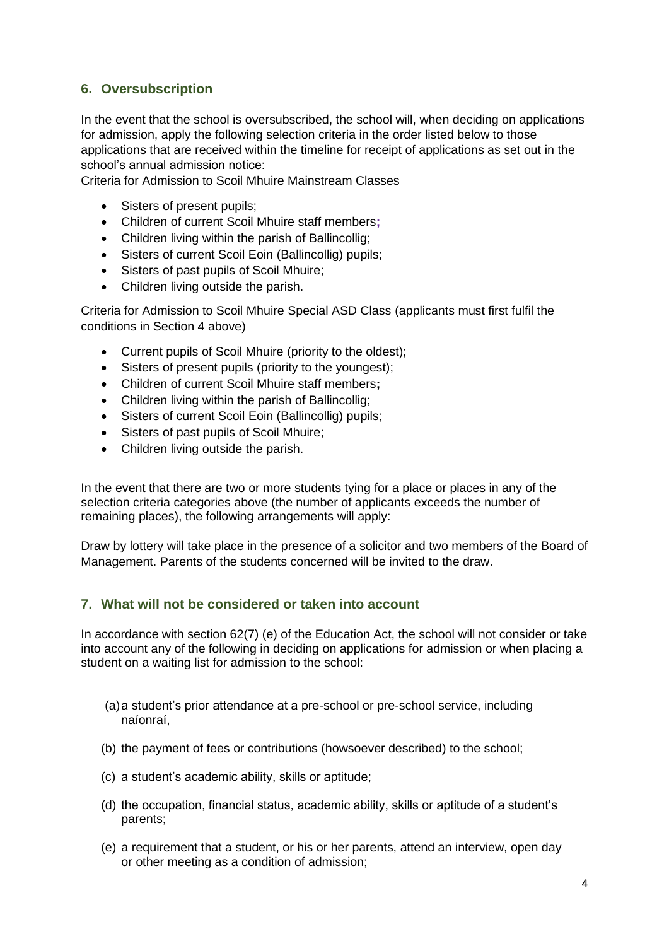## <span id="page-3-0"></span>**6. Oversubscription**

In the event that the school is oversubscribed, the school will, when deciding on applications for admission, apply the following selection criteria in the order listed below to those applications that are received within the timeline for receipt of applications as set out in the school's annual admission notice:

Criteria for Admission to Scoil Mhuire Mainstream Classes

- Sisters of present pupils;
- Children of current Scoil Mhuire staff members**;**
- Children living within the parish of Ballincollig;
- Sisters of current Scoil Eoin (Ballincollig) pupils;
- Sisters of past pupils of Scoil Mhuire;
- Children living outside the parish.

Criteria for Admission to Scoil Mhuire Special ASD Class (applicants must first fulfil the conditions in Section 4 above)

- Current pupils of Scoil Mhuire (priority to the oldest);
- Sisters of present pupils (priority to the youngest);
- Children of current Scoil Mhuire staff members**;**
- Children living within the parish of Ballincollig;
- Sisters of current Scoil Eoin (Ballincollig) pupils;
- Sisters of past pupils of Scoil Mhuire;
- Children living outside the parish.

In the event that there are two or more students tying for a place or places in any of the selection criteria categories above (the number of applicants exceeds the number of remaining places), the following arrangements will apply:

Draw by lottery will take place in the presence of a solicitor and two members of the Board of Management. Parents of the students concerned will be invited to the draw.

## **7. What will not be considered or taken into account**

In accordance with section 62(7) (e) of the Education Act, the school will not consider or take into account any of the following in deciding on applications for admission or when placing a student on a waiting list for admission to the school:

- (a)a student's prior attendance at a pre-school or pre-school service, including naíonraí,
- (b) the payment of fees or contributions (howsoever described) to the school;
- (c) a student's academic ability, skills or aptitude;
- (d) the occupation, financial status, academic ability, skills or aptitude of a student's parents;
- (e) a requirement that a student, or his or her parents, attend an interview, open day or other meeting as a condition of admission;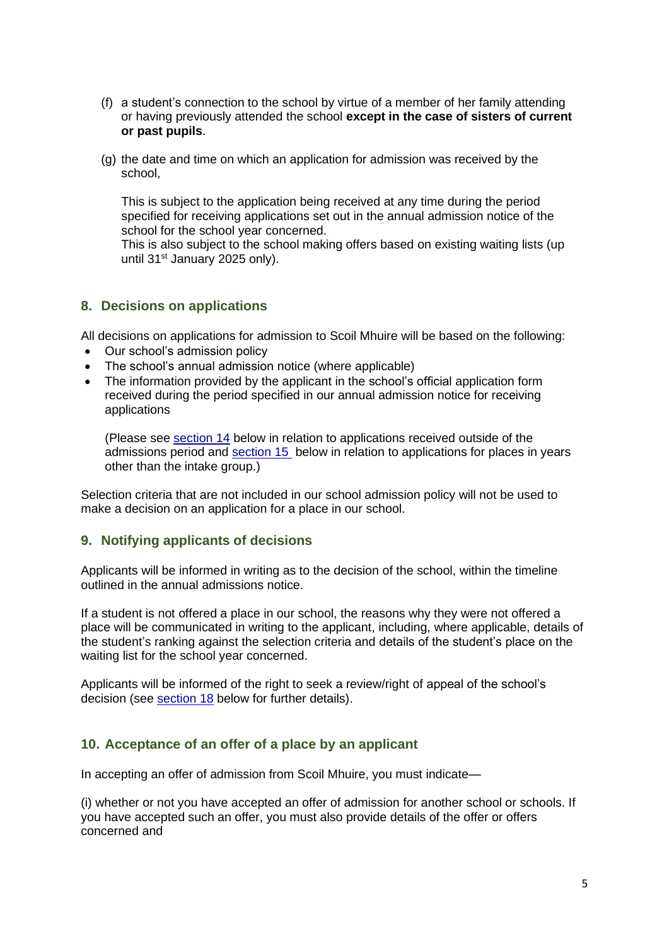- (f) a student's connection to the school by virtue of a member of her family attending or having previously attended the school **except in the case of sisters of current or past pupils**.
- (g) the date and time on which an application for admission was received by the school,

This is subject to the application being received at any time during the period specified for receiving applications set out in the annual admission notice of the school for the school year concerned.

This is also subject to the school making offers based on existing waiting lists (up until 31<sup>st</sup> January 2025 only).

### **8. Decisions on applications**

All decisions on applications for admission to Scoil Mhuire will be based on the following:

- Our school's admission policy
- The school's annual admission notice (where applicable)
- The information provided by the applicant in the school's official application form received during the period specified in our annual admission notice for receiving applications

(Please see [section 14](#page-6-0) below in relation to applications received outside of the admissions period and [section 15](#page-6-1) below in relation to applications for places in years other than the intake group.)

Selection criteria that are not included in our school admission policy will not be used to make a decision on an application for a place in our school.

## **9. Notifying applicants of decisions**

Applicants will be informed in writing as to the decision of the school, within the timeline outlined in the annual admissions notice.

If a student is not offered a place in our school, the reasons why they were not offered a place will be communicated in writing to the applicant, including, where applicable, details of the student's ranking against the selection criteria and details of the student's place on the waiting list for the school year concerned.

Applicants will be informed of the right to seek a review/right of appeal of the school's decision (see [section 18](#page-7-0) below for further details).

#### <span id="page-4-0"></span>**10. Acceptance of an offer of a place by an applicant**

In accepting an offer of admission from Scoil Mhuire, you must indicate—

(i) whether or not you have accepted an offer of admission for another school or schools. If you have accepted such an offer, you must also provide details of the offer or offers concerned and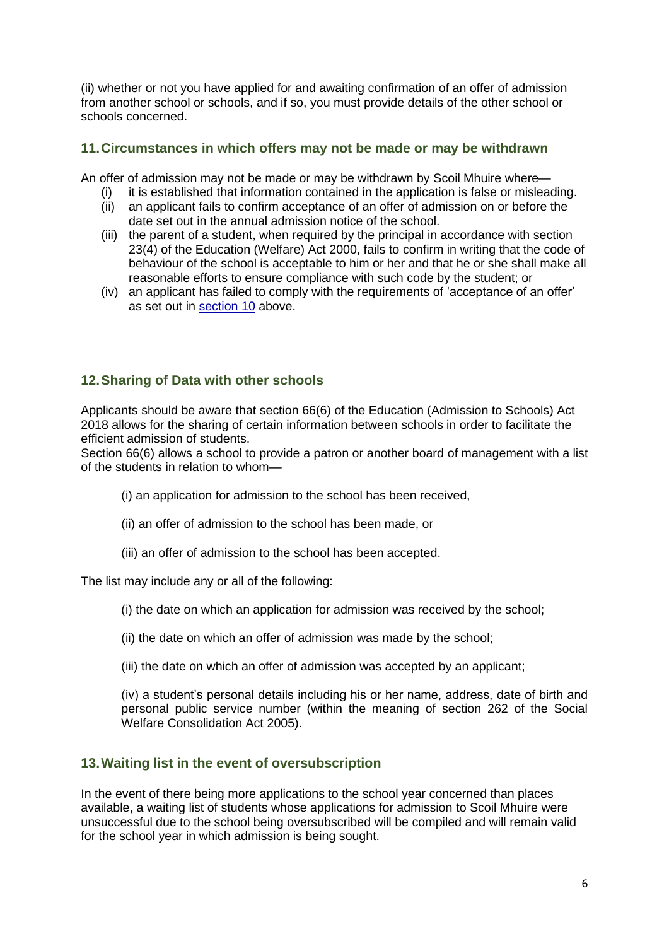(ii) whether or not you have applied for and awaiting confirmation of an offer of admission from another school or schools, and if so, you must provide details of the other school or schools concerned.

## **11.Circumstances in which offers may not be made or may be withdrawn**

An offer of admission may not be made or may be withdrawn by Scoil Mhuire where—

- (i) it is established that information contained in the application is false or misleading.
- (ii) an applicant fails to confirm acceptance of an offer of admission on or before the date set out in the annual admission notice of the school.
- (iii) the parent of a student, when required by the principal in accordance with section 23(4) of the Education (Welfare) Act 2000, fails to confirm in writing that the code of behaviour of the school is acceptable to him or her and that he or she shall make all reasonable efforts to ensure compliance with such code by the student; or
- (iv) an applicant has failed to comply with the requirements of 'acceptance of an offer' as set out in [section 10](#page-4-0) above.

## **12.Sharing of Data with other schools**

Applicants should be aware that section 66(6) of the Education (Admission to Schools) Act 2018 allows for the sharing of certain information between schools in order to facilitate the efficient admission of students.

Section 66(6) allows a school to provide a patron or another board of management with a list of the students in relation to whom—

- (i) an application for admission to the school has been received,
- (ii) an offer of admission to the school has been made, or
- (iii) an offer of admission to the school has been accepted.

The list may include any or all of the following:

- (i) the date on which an application for admission was received by the school;
- (ii) the date on which an offer of admission was made by the school;
- (iii) the date on which an offer of admission was accepted by an applicant;

(iv) a student's personal details including his or her name, address, date of birth and personal public service number (within the meaning of section 262 of the Social Welfare Consolidation Act 2005).

## **13.Waiting list in the event of oversubscription**

In the event of there being more applications to the school year concerned than places available, a waiting list of students whose applications for admission to Scoil Mhuire were unsuccessful due to the school being oversubscribed will be compiled and will remain valid for the school year in which admission is being sought.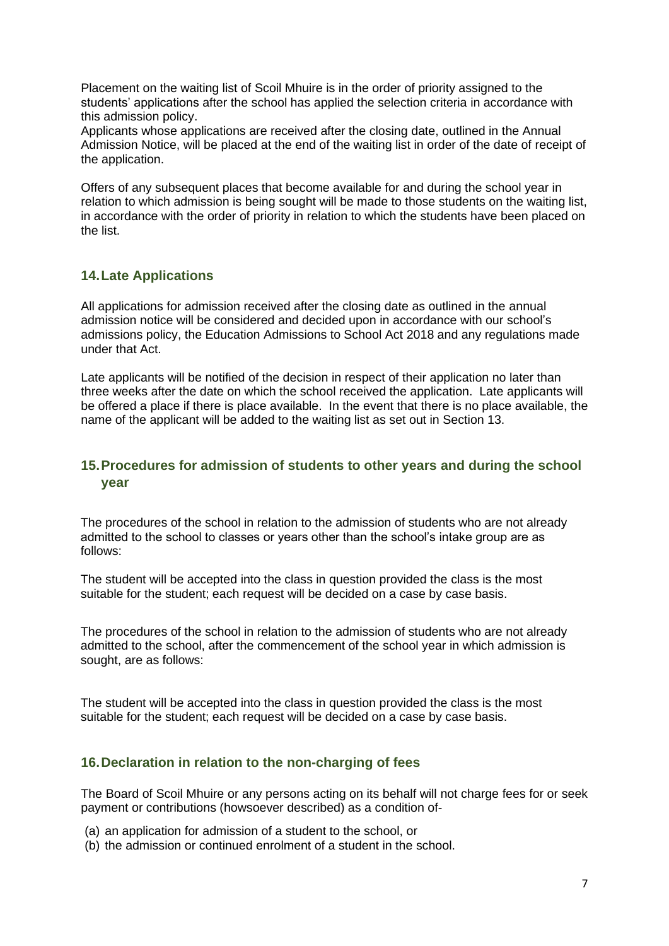Placement on the waiting list of Scoil Mhuire is in the order of priority assigned to the students' applications after the school has applied the selection criteria in accordance with this admission policy.

Applicants whose applications are received after the closing date, outlined in the Annual Admission Notice, will be placed at the end of the waiting list in order of the date of receipt of the application.

Offers of any subsequent places that become available for and during the school year in relation to which admission is being sought will be made to those students on the waiting list, in accordance with the order of priority in relation to which the students have been placed on the list.

## **14.Late Applications**

All applications for admission received after the closing date as outlined in the annual admission notice will be considered and decided upon in accordance with our school's admissions policy, the Education Admissions to School Act 2018 and any regulations made under that Act.

Late applicants will be notified of the decision in respect of their application no later than three weeks after the date on which the school received the application. Late applicants will be offered a place if there is place available. In the event that there is no place available, the name of the applicant will be added to the waiting list as set out in Section 13.

## <span id="page-6-0"></span>**15.Procedures for admission of students to other years and during the school year**

The procedures of the school in relation to the admission of students who are not already admitted to the school to classes or years other than the school's intake group are as follows:

The student will be accepted into the class in question provided the class is the most suitable for the student; each request will be decided on a case by case basis.

The procedures of the school in relation to the admission of students who are not already admitted to the school, after the commencement of the school year in which admission is sought, are as follows:

The student will be accepted into the class in question provided the class is the most suitable for the student; each request will be decided on a case by case basis.

## <span id="page-6-1"></span>**16.Declaration in relation to the non-charging of fees**

The Board of Scoil Mhuire or any persons acting on its behalf will not charge fees for or seek payment or contributions (howsoever described) as a condition of-

- (a) an application for admission of a student to the school, or
- (b) the admission or continued enrolment of a student in the school.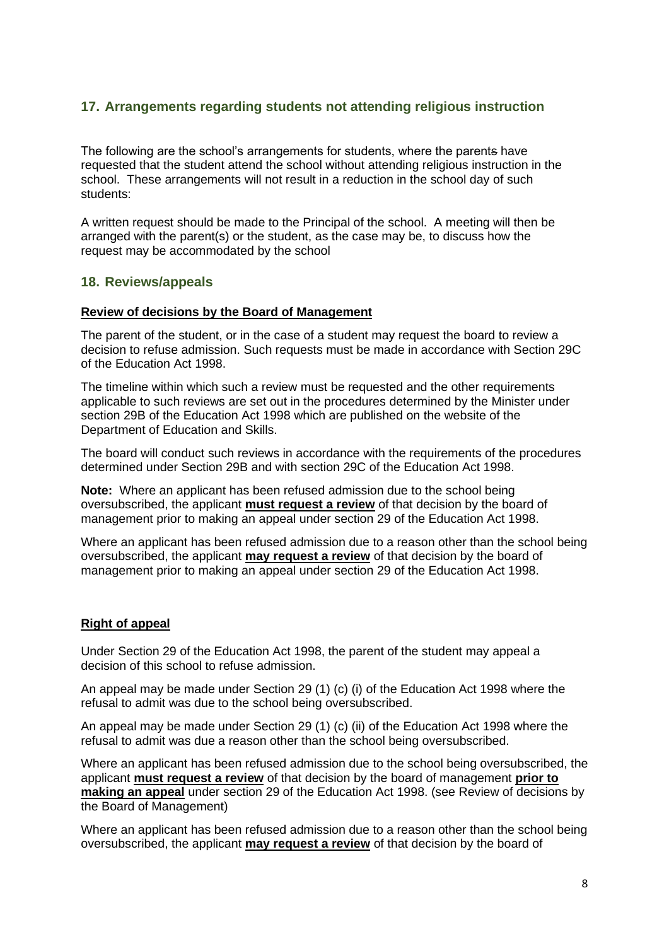## **17. Arrangements regarding students not attending religious instruction**

The following are the school's arrangements for students, where the parents have requested that the student attend the school without attending religious instruction in the school. These arrangements will not result in a reduction in the school day of such students:

A written request should be made to the Principal of the school. A meeting will then be arranged with the parent(s) or the student, as the case may be, to discuss how the request may be accommodated by the school

#### <span id="page-7-0"></span>**18. Reviews/appeals**

#### **Review of decisions by the Board of Management**

The parent of the student, or in the case of a student may request the board to review a decision to refuse admission. Such requests must be made in accordance with Section 29C of the Education Act 1998.

The timeline within which such a review must be requested and the other requirements applicable to such reviews are set out in the procedures determined by the Minister under section 29B of the Education Act 1998 which are published on the website of the Department of Education and Skills.

The board will conduct such reviews in accordance with the requirements of the procedures determined under Section 29B and with section 29C of the Education Act 1998.

**Note:** Where an applicant has been refused admission due to the school being oversubscribed, the applicant **must request a review** of that decision by the board of management prior to making an appeal under section 29 of the Education Act 1998.

Where an applicant has been refused admission due to a reason other than the school being oversubscribed, the applicant **may request a review** of that decision by the board of management prior to making an appeal under section 29 of the Education Act 1998.

#### **Right of appeal**

Under Section 29 of the Education Act 1998, the parent of the student may appeal a decision of this school to refuse admission.

An appeal may be made under Section 29 (1) (c) (i) of the Education Act 1998 where the refusal to admit was due to the school being oversubscribed.

An appeal may be made under Section 29 (1) (c) (ii) of the Education Act 1998 where the refusal to admit was due a reason other than the school being oversubscribed.

Where an applicant has been refused admission due to the school being oversubscribed, the applicant **must request a review** of that decision by the board of management **prior to making an appeal** under section 29 of the Education Act 1998. (see Review of decisions by the Board of Management)

Where an applicant has been refused admission due to a reason other than the school being oversubscribed, the applicant **may request a review** of that decision by the board of